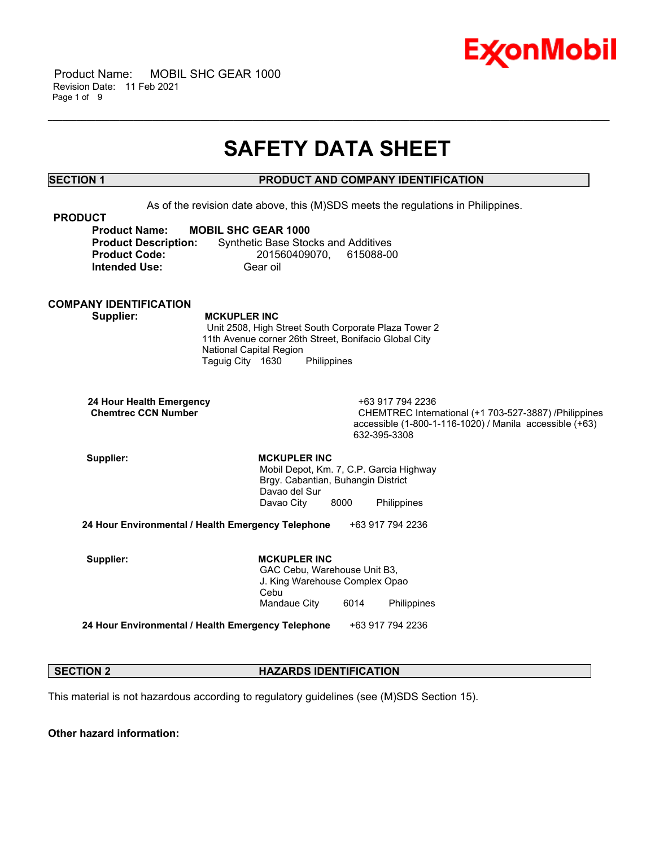

## **SAFETY DATA SHEET**

\_\_\_\_\_\_\_\_\_\_\_\_\_\_\_\_\_\_\_\_\_\_\_\_\_\_\_\_\_\_\_\_\_\_\_\_\_\_\_\_\_\_\_\_\_\_\_\_\_\_\_\_\_\_\_\_\_\_\_\_\_\_\_\_\_\_\_\_\_\_\_\_\_\_\_\_\_\_\_\_\_\_\_\_\_\_\_\_\_\_\_\_\_\_\_\_\_\_\_\_\_\_\_\_\_\_\_\_\_\_\_\_\_\_\_\_\_\_

### **SECTION 1 PRODUCT AND COMPANY IDENTIFICATION**

As of the revision date above, this (M)SDS meets the regulations in Philippines.

| <b>PRODUCT</b>              |                                            |
|-----------------------------|--------------------------------------------|
| <b>Product Name:</b>        | <b>MOBIL SHC GEAR 1000</b>                 |
| <b>Product Description:</b> | <b>Synthetic Base Stocks and Additives</b> |
| <b>Product Code:</b>        | 201560409070. 615088-00                    |
| <b>Intended Use:</b>        | Gear oil                                   |

#### **COMPANY IDENTIFICATION**

 **Supplier: MCKUPLER INC**

 Unit 2508, High Street South Corporate Plaza Tower 2 11th Avenue corner 26th Street, Bonifacio Global City National Capital Region Taguig City 1630 Philippines

 **24 Hour Health Emergency** +63 917 794 2236

CHEMTREC International (+1 703-527-3887) /Philippines accessible (1-800-1-116-1020) / Manila accessible (+63) 632-395-3308

Supplier: **MCKUPLER INC**  Mobil Depot, Km. 7, C.P. Garcia Highway Brgy. Cabantian, Buhangin District Davao del Sur Davao City 8000 Philippines

**24 Hour Environmental / Health Emergency Telephone** +63 917 794 2236

Supplier: **MCKUPLER INC**  GAC Cebu, Warehouse Unit B3, J. King Warehouse Complex Opao Cebu Mandaue City 6014 Philippines

**24 Hour Environmental / Health Emergency Telephone** +63 917 794 2236

#### **SECTION 2 HAZARDS IDENTIFICATION**

This material is not hazardous according to regulatory guidelines (see (M)SDS Section 15).

**Other hazard information:**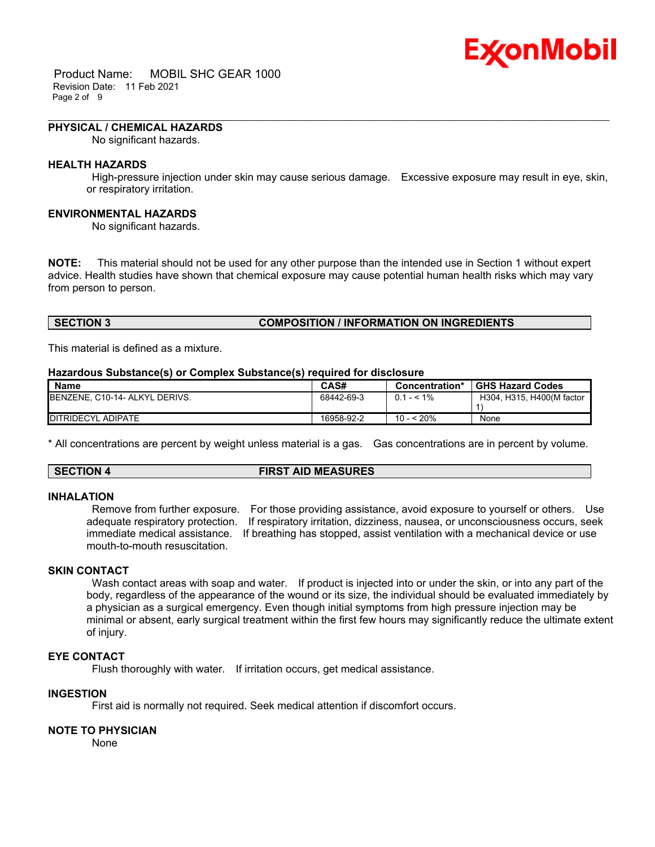# Ex⁄onMobil

 Product Name: MOBIL SHC GEAR 1000 Revision Date: 11 Feb 2021 Page 2 of 9

#### **PHYSICAL / CHEMICAL HAZARDS**

No significant hazards.

#### **HEALTH HAZARDS**

 High-pressure injection under skin may cause serious damage. Excessive exposure may result in eye, skin, or respiratory irritation.

\_\_\_\_\_\_\_\_\_\_\_\_\_\_\_\_\_\_\_\_\_\_\_\_\_\_\_\_\_\_\_\_\_\_\_\_\_\_\_\_\_\_\_\_\_\_\_\_\_\_\_\_\_\_\_\_\_\_\_\_\_\_\_\_\_\_\_\_\_\_\_\_\_\_\_\_\_\_\_\_\_\_\_\_\_\_\_\_\_\_\_\_\_\_\_\_\_\_\_\_\_\_\_\_\_\_\_\_\_\_\_\_\_\_\_\_\_\_

#### **ENVIRONMENTAL HAZARDS**

No significant hazards.

**NOTE:** This material should not be used for any other purpose than the intended use in Section 1 without expert advice. Health studies have shown that chemical exposure may cause potential human health risks which may vary from person to person.

### **SECTION 3 COMPOSITION / INFORMATION ON INGREDIENTS**

This material is defined as a mixture.

#### **Hazardous Substance(s) or Complex Substance(s) required for disclosure**

| <b>Name</b>                            | CAS#       | Concentration* | <b>GHS Hazard Codes</b>   |
|----------------------------------------|------------|----------------|---------------------------|
| <b>IBENZENE, C10-14- ALKYL DERIVS.</b> | 68442-69-3 | $0.1 - 5.1\%$  | H304, H315, H400(M factor |
|                                        |            |                |                           |
| DITRIDECYL ADIPATE                     | 16958-92-2 | 10 - < 20%     | None                      |

\* All concentrations are percent by weight unless material is a gas. Gas concentrations are in percent by volume.

#### **SECTION 4 FIRST AID MEASURES**

#### **INHALATION**

 Remove from further exposure. For those providing assistance, avoid exposure to yourself or others. Use adequate respiratory protection. If respiratory irritation, dizziness, nausea, or unconsciousness occurs, seek immediate medical assistance. If breathing has stopped, assist ventilation with a mechanical device or use mouth-to-mouth resuscitation.

### **SKIN CONTACT**

Wash contact areas with soap and water. If product is injected into or under the skin, or into any part of the body, regardless of the appearance of the wound or its size, the individual should be evaluated immediately by a physician as a surgical emergency. Even though initial symptoms from high pressure injection may be minimal or absent, early surgical treatment within the first few hours may significantly reduce the ultimate extent of injury.

#### **EYE CONTACT**

Flush thoroughly with water. If irritation occurs, get medical assistance.

#### **INGESTION**

First aid is normally not required. Seek medical attention if discomfort occurs.

#### **NOTE TO PHYSICIAN**

None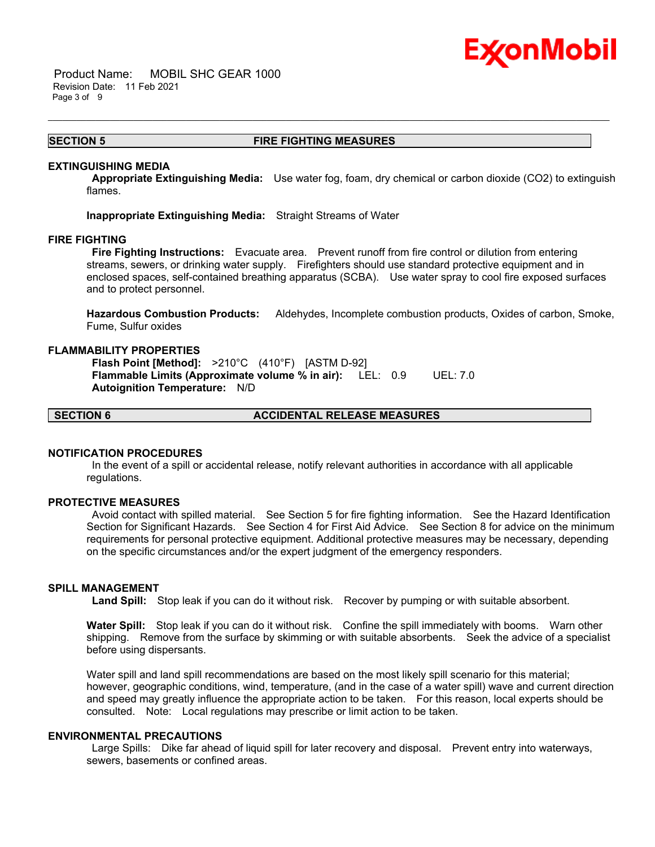

 Product Name: MOBIL SHC GEAR 1000 Revision Date: 11 Feb 2021 Page 3 of 9

#### **SECTION 5 FIRE FIGHTING MEASURES**

\_\_\_\_\_\_\_\_\_\_\_\_\_\_\_\_\_\_\_\_\_\_\_\_\_\_\_\_\_\_\_\_\_\_\_\_\_\_\_\_\_\_\_\_\_\_\_\_\_\_\_\_\_\_\_\_\_\_\_\_\_\_\_\_\_\_\_\_\_\_\_\_\_\_\_\_\_\_\_\_\_\_\_\_\_\_\_\_\_\_\_\_\_\_\_\_\_\_\_\_\_\_\_\_\_\_\_\_\_\_\_\_\_\_\_\_\_\_

#### **EXTINGUISHING MEDIA**

 **Appropriate Extinguishing Media:** Use water fog, foam, dry chemical or carbon dioxide (CO2) to extinguish flames.

**Inappropriate Extinguishing Media:** Straight Streams of Water

#### **FIRE FIGHTING**

 **Fire Fighting Instructions:** Evacuate area. Prevent runoff from fire control or dilution from entering streams, sewers, or drinking water supply. Firefighters should use standard protective equipment and in enclosed spaces, self-contained breathing apparatus (SCBA). Use water spray to cool fire exposed surfaces and to protect personnel.

**Hazardous Combustion Products:** Aldehydes, Incomplete combustion products, Oxides of carbon, Smoke, Fume, Sulfur oxides

#### **FLAMMABILITY PROPERTIES**

 **Flash Point [Method]:** >210°C (410°F) [ASTM D-92]  **Flammable Limits (Approximate volume % in air):** LEL: 0.9 UEL: 7.0  **Autoignition Temperature:** N/D

**SECTION 6 ACCIDENTAL RELEASE MEASURES**

#### **NOTIFICATION PROCEDURES**

 In the event of a spill or accidental release, notify relevant authorities in accordance with all applicable regulations.

#### **PROTECTIVE MEASURES**

 Avoid contact with spilled material. See Section 5 for fire fighting information. See the Hazard Identification Section for Significant Hazards. See Section 4 for First Aid Advice. See Section 8 for advice on the minimum requirements for personal protective equipment. Additional protective measures may be necessary, depending on the specific circumstances and/or the expert judgment of the emergency responders.

#### **SPILL MANAGEMENT**

 **Land Spill:** Stop leak if you can do it without risk. Recover by pumping or with suitable absorbent.

**Water Spill:** Stop leak if you can do it without risk. Confine the spill immediately with booms. Warn other shipping. Remove from the surface by skimming or with suitable absorbents. Seek the advice of a specialist before using dispersants.

Water spill and land spill recommendations are based on the most likely spill scenario for this material; however, geographic conditions, wind, temperature, (and in the case of a water spill) wave and current direction and speed may greatly influence the appropriate action to be taken. For this reason, local experts should be consulted. Note: Local regulations may prescribe or limit action to be taken.

#### **ENVIRONMENTAL PRECAUTIONS**

 Large Spills: Dike far ahead of liquid spill for later recovery and disposal. Prevent entry into waterways, sewers, basements or confined areas.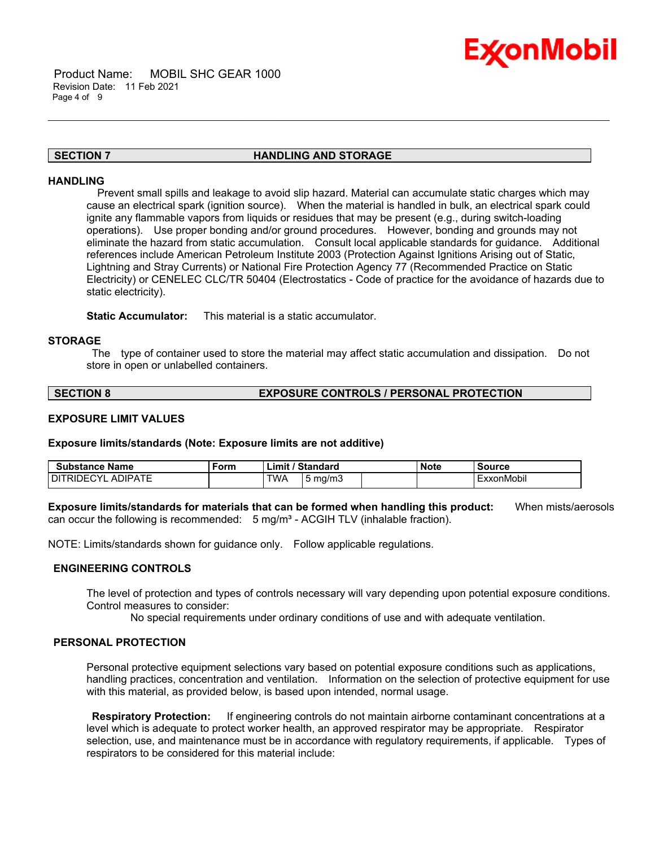

#### **SECTION 7 HANDLING AND STORAGE**

\_\_\_\_\_\_\_\_\_\_\_\_\_\_\_\_\_\_\_\_\_\_\_\_\_\_\_\_\_\_\_\_\_\_\_\_\_\_\_\_\_\_\_\_\_\_\_\_\_\_\_\_\_\_\_\_\_\_\_\_\_\_\_\_\_\_\_\_\_\_\_\_\_\_\_\_\_\_\_\_\_\_\_\_\_\_\_\_\_\_\_\_\_\_\_\_\_\_\_\_\_\_\_\_\_\_\_\_\_\_\_\_\_\_\_\_\_\_

#### **HANDLING**

 Prevent small spills and leakage to avoid slip hazard. Material can accumulate static charges which may cause an electrical spark (ignition source). When the material is handled in bulk, an electrical spark could ignite any flammable vapors from liquids or residues that may be present (e.g., during switch-loading operations). Use proper bonding and/or ground procedures. However, bonding and grounds may not eliminate the hazard from static accumulation. Consult local applicable standards for guidance. Additional references include American Petroleum Institute 2003 (Protection Against Ignitions Arising out of Static, Lightning and Stray Currents) or National Fire Protection Agency 77 (Recommended Practice on Static Electricity) or CENELEC CLC/TR 50404 (Electrostatics - Code of practice for the avoidance of hazards due to static electricity).

**Static Accumulator:** This material is a static accumulator.

#### **STORAGE**

 The type of container used to store the material may affect static accumulation and dissipation. Do not store in open or unlabelled containers.

#### **SECTION 8 EXPOSURE CONTROLS / PERSONAL PROTECTION**

#### **EXPOSURE LIMIT VALUES**

**Exposure limits/standards (Note: Exposure limits are not additive)**

| Substance Name                          | Form | '∟imi\ | Standard   | <b>Note</b> | Source     |
|-----------------------------------------|------|--------|------------|-------------|------------|
| . ADIPATE<br>DI.<br>$\cdot$<br>1⊢<br>RШ |      | TWA    | mg/m.<br>ັ |             | ExxonMobil |

**Exposure limits/standards for materials that can be formed when handling this product:** When mists/aerosols can occur the following is recommended:  $5 \text{ mg/m}^3$  - ACGIH TLV (inhalable fraction).

NOTE: Limits/standards shown for guidance only. Follow applicable regulations.

#### **ENGINEERING CONTROLS**

The level of protection and types of controls necessary will vary depending upon potential exposure conditions. Control measures to consider:

No special requirements under ordinary conditions of use and with adequate ventilation.

#### **PERSONAL PROTECTION**

Personal protective equipment selections vary based on potential exposure conditions such as applications, handling practices, concentration and ventilation. Information on the selection of protective equipment for use with this material, as provided below, is based upon intended, normal usage.

 **Respiratory Protection:** If engineering controls do not maintain airborne contaminant concentrations at a level which is adequate to protect worker health, an approved respirator may be appropriate. Respirator selection, use, and maintenance must be in accordance with regulatory requirements, if applicable. Types of respirators to be considered for this material include: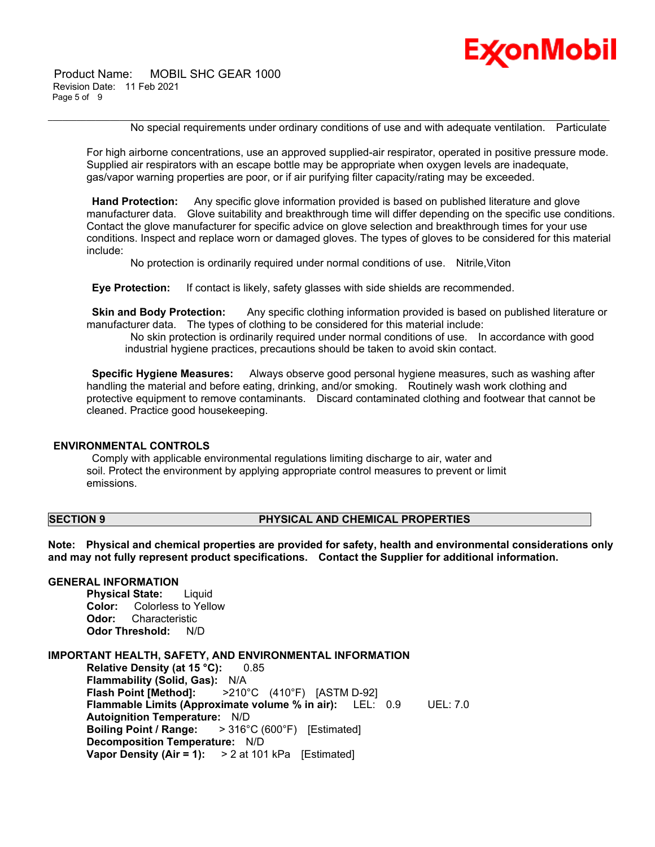

 Product Name: MOBIL SHC GEAR 1000 Revision Date: 11 Feb 2021 Page 5 of 9

No special requirements under ordinary conditions of use and with adequate ventilation. Particulate

For high airborne concentrations, use an approved supplied-air respirator, operated in positive pressure mode. Supplied air respirators with an escape bottle may be appropriate when oxygen levels are inadequate, gas/vapor warning properties are poor, or if air purifying filter capacity/rating may be exceeded.

\_\_\_\_\_\_\_\_\_\_\_\_\_\_\_\_\_\_\_\_\_\_\_\_\_\_\_\_\_\_\_\_\_\_\_\_\_\_\_\_\_\_\_\_\_\_\_\_\_\_\_\_\_\_\_\_\_\_\_\_\_\_\_\_\_\_\_\_\_\_\_\_\_\_\_\_\_\_\_\_\_\_\_\_\_\_\_\_\_\_\_\_\_\_\_\_\_\_\_\_\_\_\_\_\_\_\_\_\_\_\_\_\_\_\_\_\_\_

 **Hand Protection:** Any specific glove information provided is based on published literature and glove manufacturer data. Glove suitability and breakthrough time will differ depending on the specific use conditions. Contact the glove manufacturer for specific advice on glove selection and breakthrough times for your use conditions. Inspect and replace worn or damaged gloves. The types of gloves to be considered for this material include:

No protection is ordinarily required under normal conditions of use. Nitrile,Viton

 **Eye Protection:** If contact is likely, safety glasses with side shields are recommended.

**Skin and Body Protection:** Any specific clothing information provided is based on published literature or manufacturer data. The types of clothing to be considered for this material include:

 No skin protection is ordinarily required under normal conditions of use. In accordance with good industrial hygiene practices, precautions should be taken to avoid skin contact.

 **Specific Hygiene Measures:** Always observe good personal hygiene measures, such as washing after handling the material and before eating, drinking, and/or smoking. Routinely wash work clothing and protective equipment to remove contaminants. Discard contaminated clothing and footwear that cannot be cleaned. Practice good housekeeping.

#### **ENVIRONMENTAL CONTROLS**

 Comply with applicable environmental regulations limiting discharge to air, water and soil. Protect the environment by applying appropriate control measures to prevent or limit emissions.

#### **SECTION 9 PHYSICAL AND CHEMICAL PROPERTIES**

**Note: Physical and chemical properties are provided for safety, health and environmental considerations only and may not fully represent product specifications. Contact the Supplier for additional information.**

### **GENERAL INFORMATION**

**Physical State:** Liquid **Color:** Colorless to Yellow **Odor:** Characteristic **Odor Threshold:** N/D

#### **IMPORTANT HEALTH, SAFETY, AND ENVIRONMENTAL INFORMATION**

**Relative Density (at 15 °C):** 0.85 **Flammability (Solid, Gas):** N/A **Flash Point [Method]:** >210°C (410°F) [ASTM D-92] **Flammable Limits (Approximate volume % in air):** LEL: 0.9 UEL: 7.0 **Autoignition Temperature:** N/D **Boiling Point / Range:** > 316°C (600°F) [Estimated] **Decomposition Temperature:** N/D **Vapor Density (Air = 1):** > 2 at 101 kPa [Estimated]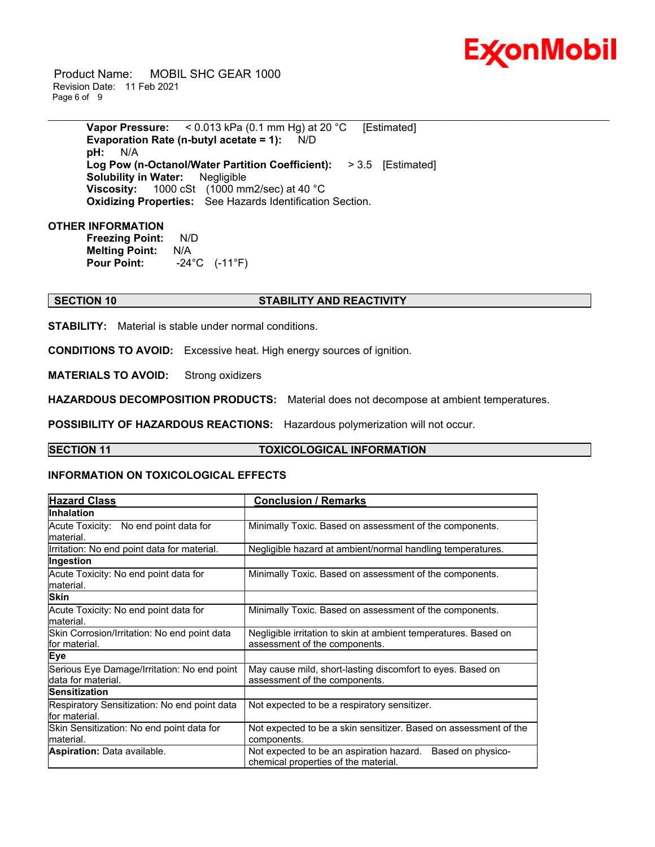

 Product Name: MOBIL SHC GEAR 1000 Revision Date: 11 Feb 2021 Page 6 of 9

> **Vapor Pressure:** < 0.013 kPa (0.1 mm Hg) at 20 °C [Estimated] **Evaporation Rate (n-butyl acetate = 1):** N/D **pH:** N/A **Log Pow (n-Octanol/Water Partition Coefficient):** > 3.5 [Estimated] **Solubility in Water:** Negligible **Viscosity:** 1000 cSt (1000 mm2/sec) at 40 °C **Oxidizing Properties:** See Hazards Identification Section.

\_\_\_\_\_\_\_\_\_\_\_\_\_\_\_\_\_\_\_\_\_\_\_\_\_\_\_\_\_\_\_\_\_\_\_\_\_\_\_\_\_\_\_\_\_\_\_\_\_\_\_\_\_\_\_\_\_\_\_\_\_\_\_\_\_\_\_\_\_\_\_\_\_\_\_\_\_\_\_\_\_\_\_\_\_\_\_\_\_\_\_\_\_\_\_\_\_\_\_\_\_\_\_\_\_\_\_\_\_\_\_\_\_\_\_\_\_\_

#### **OTHER INFORMATION**

**Freezing Point:** N/D **Melting Point:** N/A **Pour Point:** -24°C (-11°F)

### **SECTION 10 STABILITY AND REACTIVITY**

**STABILITY:** Material is stable under normal conditions.

**CONDITIONS TO AVOID:** Excessive heat. High energy sources of ignition.

**MATERIALS TO AVOID:** Strong oxidizers

**HAZARDOUS DECOMPOSITION PRODUCTS:** Material does not decompose at ambient temperatures.

**POSSIBILITY OF HAZARDOUS REACTIONS:** Hazardous polymerization will not occur.

#### **SECTION 11 TOXICOLOGICAL INFORMATION**

#### **INFORMATION ON TOXICOLOGICAL EFFECTS**

| <b>Hazard Class</b>                                               | <b>Conclusion / Remarks</b>                                                                           |  |  |
|-------------------------------------------------------------------|-------------------------------------------------------------------------------------------------------|--|--|
| <b>Inhalation</b>                                                 |                                                                                                       |  |  |
| Acute Toxicity: No end point data for<br>lmaterial.               | Minimally Toxic. Based on assessment of the components.                                               |  |  |
| Irritation: No end point data for material.                       | Negligible hazard at ambient/normal handling temperatures.                                            |  |  |
| Ingestion                                                         |                                                                                                       |  |  |
| Acute Toxicity: No end point data for<br>lmaterial.               | Minimally Toxic. Based on assessment of the components.                                               |  |  |
| <b>Skin</b>                                                       |                                                                                                       |  |  |
| Acute Toxicity: No end point data for<br>lmaterial.               | Minimally Toxic. Based on assessment of the components.                                               |  |  |
| Skin Corrosion/Irritation: No end point data<br>for material.     | Negligible irritation to skin at ambient temperatures. Based on<br>assessment of the components.      |  |  |
| <b>Eye</b>                                                        |                                                                                                       |  |  |
| Serious Eye Damage/Irritation: No end point<br>data for material. | May cause mild, short-lasting discomfort to eyes. Based on<br>assessment of the components.           |  |  |
| <b>Sensitization</b>                                              |                                                                                                       |  |  |
| Respiratory Sensitization: No end point data<br>lfor material.    | Not expected to be a respiratory sensitizer.                                                          |  |  |
| Skin Sensitization: No end point data for<br>lmaterial.           | Not expected to be a skin sensitizer. Based on assessment of the<br>components.                       |  |  |
| <b>Aspiration: Data available.</b>                                | Based on physico-<br>Not expected to be an aspiration hazard.<br>chemical properties of the material. |  |  |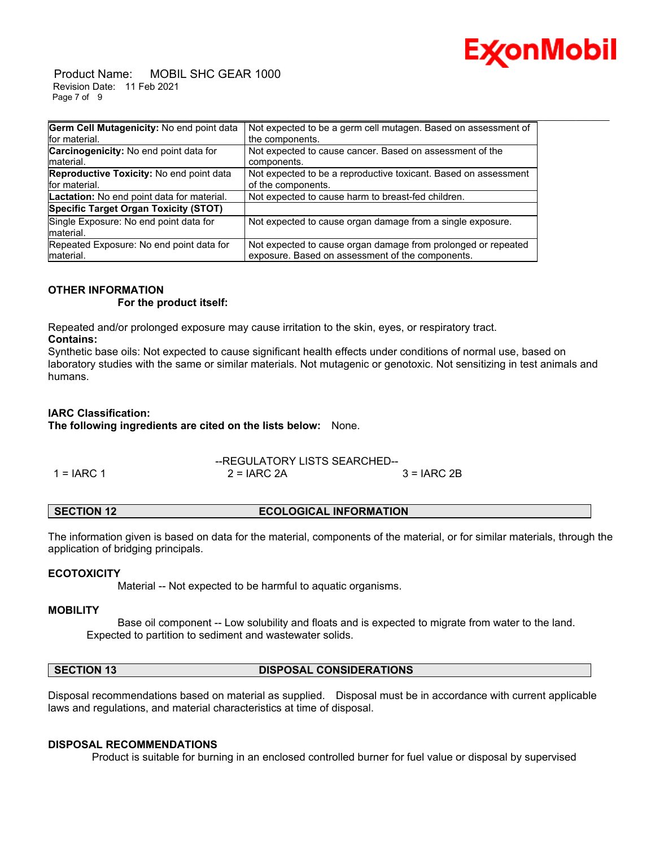

 Product Name: MOBIL SHC GEAR 1000 Revision Date: 11 Feb 2021 Page 7 of 9

| Germ Cell Mutagenicity: No end point data       | Not expected to be a germ cell mutagen. Based on assessment of  |
|-------------------------------------------------|-----------------------------------------------------------------|
| for material.                                   | the components.                                                 |
| Carcinogenicity: No end point data for          | Not expected to cause cancer. Based on assessment of the        |
| Imaterial.                                      | components.                                                     |
| <b>Reproductive Toxicity: No end point data</b> | Not expected to be a reproductive toxicant. Based on assessment |
| for material.                                   | of the components.                                              |
| Lactation: No end point data for material.      | Not expected to cause harm to breast-fed children.              |
| Specific Target Organ Toxicity (STOT)           |                                                                 |
| Single Exposure: No end point data for          | Not expected to cause organ damage from a single exposure.      |
| material.                                       |                                                                 |
| Repeated Exposure: No end point data for        | Not expected to cause organ damage from prolonged or repeated   |
| material.                                       | exposure. Based on assessment of the components.                |

### **OTHER INFORMATION**

 **For the product itself:** 

Repeated and/or prolonged exposure may cause irritation to the skin, eyes, or respiratory tract. **Contains:**

Synthetic base oils: Not expected to cause significant health effects under conditions of normal use, based on laboratory studies with the same or similar materials. Not mutagenic or genotoxic. Not sensitizing in test animals and humans.

### **IARC Classification:**

**The following ingredients are cited on the lists below:** None.

|              | --REGULATORY LISTS SEARCHED-- |               |  |
|--------------|-------------------------------|---------------|--|
| $1 = IARC 1$ | $2 = IARC 2A$                 | $3 = IARC 2B$ |  |

The information given is based on data for the material, components of the material, or for similar materials, through the application of bridging principals.

#### **ECOTOXICITY**

Material -- Not expected to be harmful to aquatic organisms.

#### **MOBILITY**

 Base oil component -- Low solubility and floats and is expected to migrate from water to the land. Expected to partition to sediment and wastewater solids.

**SECTION 13 DISPOSAL CONSIDERATIONS** 

Disposal recommendations based on material as supplied. Disposal must be in accordance with current applicable laws and regulations, and material characteristics at time of disposal.

#### **DISPOSAL RECOMMENDATIONS**

Product is suitable for burning in an enclosed controlled burner for fuel value or disposal by supervised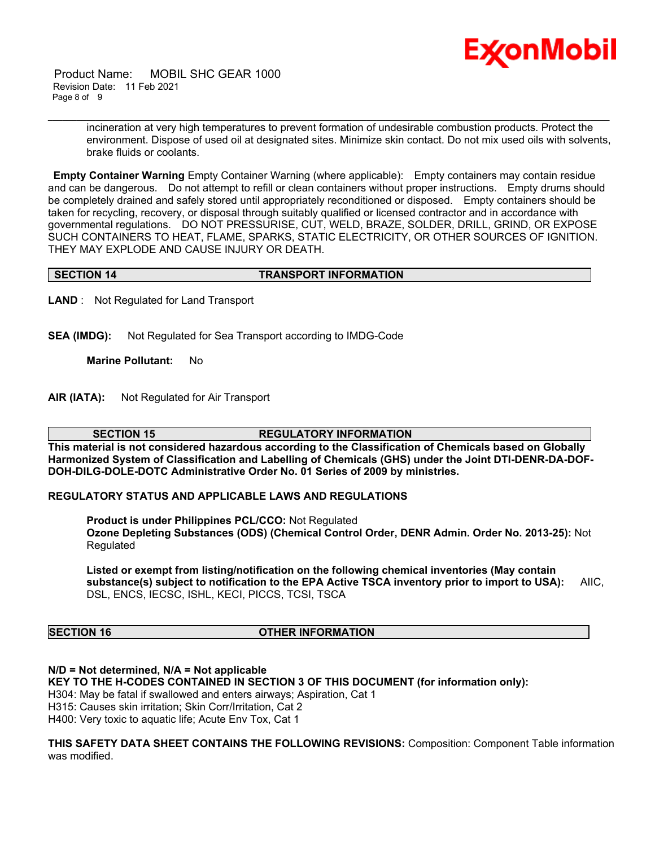

 Product Name: MOBIL SHC GEAR 1000 Revision Date: 11 Feb 2021 Page 8 of 9

> incineration at very high temperatures to prevent formation of undesirable combustion products. Protect the environment. Dispose of used oil at designated sites. Minimize skin contact. Do not mix used oils with solvents, brake fluids or coolants.

**Empty Container Warning** Empty Container Warning (where applicable): Empty containers may contain residue and can be dangerous. Do not attempt to refill or clean containers without proper instructions. Empty drums should be completely drained and safely stored until appropriately reconditioned or disposed. Empty containers should be taken for recycling, recovery, or disposal through suitably qualified or licensed contractor and in accordance with governmental regulations. DO NOT PRESSURISE, CUT, WELD, BRAZE, SOLDER, DRILL, GRIND, OR EXPOSE SUCH CONTAINERS TO HEAT, FLAME, SPARKS, STATIC ELECTRICITY, OR OTHER SOURCES OF IGNITION. THEY MAY EXPLODE AND CAUSE INJURY OR DEATH.

\_\_\_\_\_\_\_\_\_\_\_\_\_\_\_\_\_\_\_\_\_\_\_\_\_\_\_\_\_\_\_\_\_\_\_\_\_\_\_\_\_\_\_\_\_\_\_\_\_\_\_\_\_\_\_\_\_\_\_\_\_\_\_\_\_\_\_\_\_\_\_\_\_\_\_\_\_\_\_\_\_\_\_\_\_\_\_\_\_\_\_\_\_\_\_\_\_\_\_\_\_\_\_\_\_\_\_\_\_\_\_\_\_\_\_\_\_\_

#### **SECTION 14 TRANSPORT INFORMATION**

**LAND** : Not Regulated for Land Transport

**SEA (IMDG):** Not Regulated for Sea Transport according to IMDG-Code

**Marine Pollutant:** No

**AIR (IATA):** Not Regulated for Air Transport

**SECTION 15 REGULATORY INFORMATION** 

**This material is not considered hazardous according to the Classification of Chemicals based on Globally Harmonized System of Classification and Labelling of Chemicals (GHS) under the Joint DTI-DENR-DA-DOF-DOH-DILG-DOLE-DOTC Administrative Order No. 01 Series of 2009 by ministries.**

#### **REGULATORY STATUS AND APPLICABLE LAWS AND REGULATIONS**

**Product is under Philippines PCL/CCO:** Not Regulated **Ozone Depleting Substances (ODS) (Chemical Control Order, DENR Admin. Order No. 2013-25):** Not Regulated

**Listed or exempt from listing/notification on the following chemical inventories (May contain substance(s) subject to notification to the EPA Active TSCA inventory prior to import to USA):** AIIC, DSL, ENCS, IECSC, ISHL, KECI, PICCS, TCSI, TSCA

#### **SECTION 16 OTHER INFORMATION**

**N/D = Not determined, N/A = Not applicable KEY TO THE H-CODES CONTAINED IN SECTION 3 OF THIS DOCUMENT (for information only):** H304: May be fatal if swallowed and enters airways; Aspiration, Cat 1 H315: Causes skin irritation; Skin Corr/Irritation, Cat 2 H400: Very toxic to aquatic life; Acute Env Tox, Cat 1

**THIS SAFETY DATA SHEET CONTAINS THE FOLLOWING REVISIONS:** Composition: Component Table information was modified.